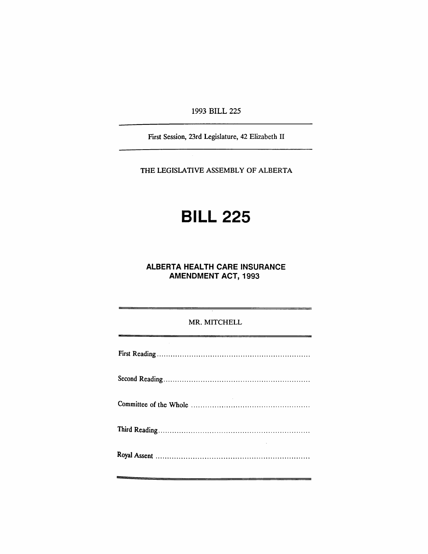1993 BILL 225

First Session, 23rd Legislature, 42 Elizabeth II

THE LEGISLATIVE ASSEMBLY OF ALBERTA

# **BILL 225**

## **ALBERTA HEALTH CARE INSURANCE AMENDMENT ACT, 1993**

## MR. MITCHELL

—<br>—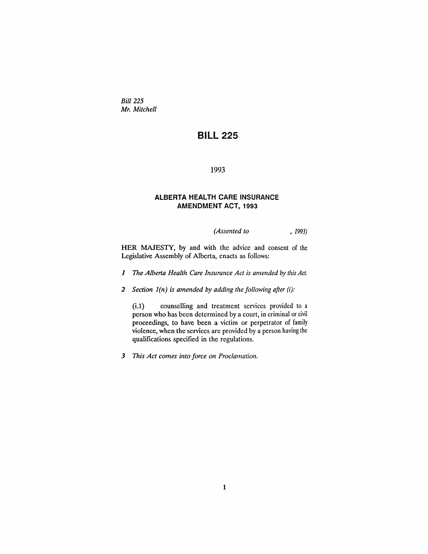*Bill 225 Mr. Mitchell*

# **BILL 225**

## 1993

## **ALBERTA HEALTH CARE INSURANCE AMENDMENT ACT, 1993**

*(Assented to* , 1993)

HER MAJESTY, by and with the advice and consent of the Legislative Assembly of Alberta, enacts as follows:

*1 The Alberta Health Care Insurance Act is amended by this Act.*

*2 Section l(n) is amended by adding the following after (i):* 

(i.I) counselling and treatment services provided to a person who has been determined by a court, in criminal or civil proceedings, to have been a victim or perpetrator of family violence, when the services are provided by a person having the qualifications specified in the regulations.

*3 This Act comes into force on Proclamation.*